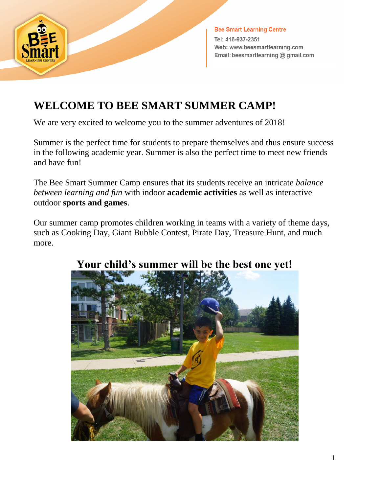

**Bee Smart Learning Centre** Tel: 416-937-2351 Web: www.beesmartlearning.com Email: beesmartlearning @ gmail.com

## **WELCOME TO BEE SMART SUMMER CAMP!**

We are very excited to welcome you to the summer adventures of 2018!

Summer is the perfect time for students to prepare themselves and thus ensure success in the following academic year. Summer is also the perfect time to meet new friends and have fun!

The Bee Smart Summer Camp ensures that its students receive an intricate *balance between learning and fun* with indoor **academic activities** as well as interactive outdoor **sports and games**.

Our summer camp promotes children working in teams with a variety of theme days, such as Cooking Day, Giant Bubble Contest, Pirate Day, Treasure Hunt, and much more.



## **Your child's summer will be the best one yet!**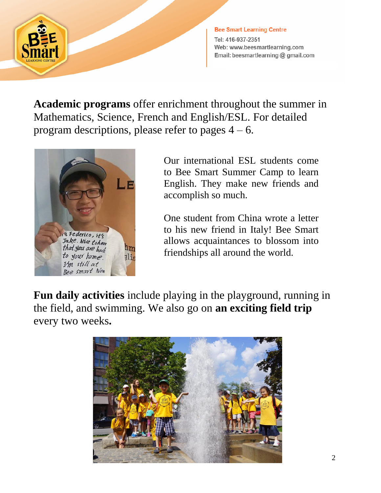

**Bee Smart Learning Centre** Tel: 416-937-2351 Web: www.beesmartlearning.com Email: beesmartlearning @ gmail.com

**Academic programs** offer enrichment throughout the summer in Mathematics, Science, French and English/ESL. For detailed program descriptions, please refer to pages  $4 - 6$ .



Our international ESL students come to Bee Smart Summer Camp to learn English. They make new friends and accomplish so much.

One student from China wrote a letter to his new friend in Italy! Bee Smart allows acquaintances to blossom into friendships all around the world.

**Fun daily activities** include playing in the playground, running in the field, and swimming. We also go on **an exciting field trip**  every two weeks**.**

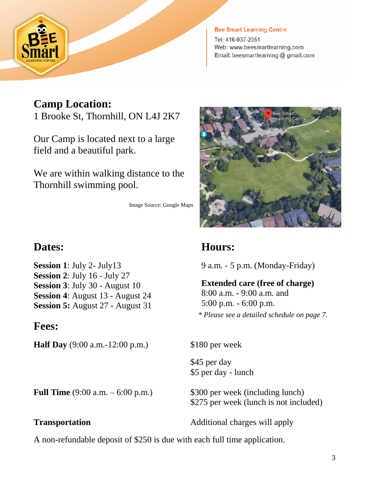

#### **Bee Smart Learning Centre**

Tel: 416-937-2351 Web: www.beesmartlearning.com Email: beesmartlearning @ gmail.com

#### **Camp Location:**

1 Brooke St, Thornhill, ON L4J 2K7

Our Camp is located next to a large field and a beautiful park.

We are within walking distance to the Thornhill swimming pool.

Image Source: Google Maps

#### **Dates:**

**Session 1**: July 2- July13 **Session 2**: July 16 - July 27 **Session 3**: July 30 - August 10 **Session 4**: August 13 - August 24 **Session 5:** August 27 - August 31

**Fees:**

**Half Day** (9:00 a.m.-12:00 p.m.) \$180 per week



#### **Hours:**

9 a.m. - 5 p.m. (Monday-Friday)

**Extended care (free of charge)** 8:00 a.m. - 9:00 a.m. and 5:00 p.m. - 6:00 p.m. *\* Please see a detailed schedule on page 7.*

 \$45 per day \$5 per day - lunch

**Full Time**  $(9:00 \text{ a.m.} - 6:00 \text{ p.m.})$  \$300 per week (including lunch)

\$275 per week (lunch is not included)

**Transportation Additional charges will apply** 

A non-refundable deposit of \$250 is due with each full time application.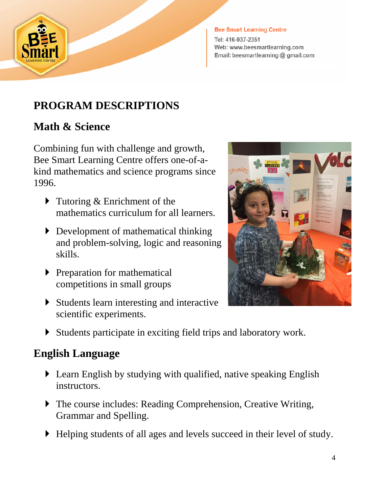

#### **Bee Smart Learning Centre**

Tel: 416-937-2351 Web: www.beesmartlearning.com Email: beesmartlearning @ gmail.com

#### **PROGRAM DESCRIPTIONS**

#### **Math & Science**

Combining fun with challenge and growth, Bee Smart Learning Centre offers one-of-akind mathematics and science programs since 1996.

- Tutoring & Enrichment of the mathematics curriculum for all learners.
- Development of mathematical thinking and problem-solving, logic and reasoning skills.
- $\blacktriangleright$  Preparation for mathematical competitions in small groups
- Students learn interesting and interactive scientific experiments.



Students participate in exciting field trips and laboratory work.

#### **English Language**

- Learn English by studying with qualified, native speaking English instructors.
- The course includes: Reading Comprehension, Creative Writing, Grammar and Spelling.
- Helping students of all ages and levels succeed in their level of study.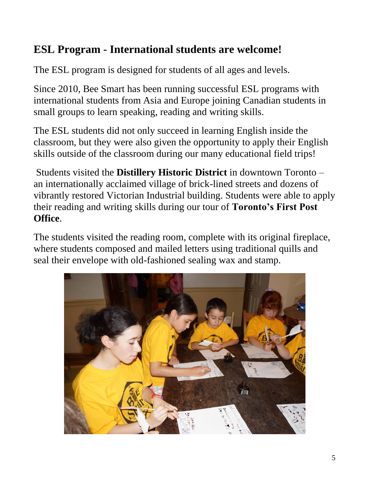## **ESL Program - International students are welcome!**

The ESL program is designed for students of all ages and levels.

Since 2010, Bee Smart has been running successful ESL programs with international students from Asia and Europe joining Canadian students in small groups to learn speaking, reading and writing skills.

The ESL students did not only succeed in learning English inside the classroom, but they were also given the opportunity to apply their English skills outside of the classroom during our many educational field trips!

Students visited the **Distillery Historic District** in downtown Toronto – an internationally acclaimed village of brick-lined streets and dozens of vibrantly restored Victorian Industrial building. Students were able to apply their reading and writing skills during our tour of **Toronto's First Post Office**.

The students visited the reading room, complete with its original fireplace, where students composed and mailed letters using traditional quills and seal their envelope with old-fashioned sealing wax and stamp.

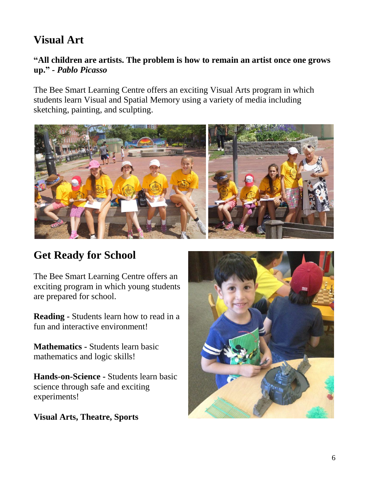## **Visual Art**

#### **"All children are artists. The problem is how to remain an artist once one grows up."** *- Pablo Picasso*

The Bee Smart Learning Centre offers an exciting Visual Arts program in which students learn Visual and Spatial Memory using a variety of media including sketching, painting, and sculpting.



## **Get Ready for School**

The Bee Smart Learning Centre offers an exciting program in which young students are prepared for school.

**Reading -** Students learn how to read in a fun and interactive environment!

**Mathematics -** Students learn basic mathematics and logic skills!

**Hands-on-Science -** Students learn basic science through safe and exciting experiments!

**Visual Arts, Theatre, Sports**